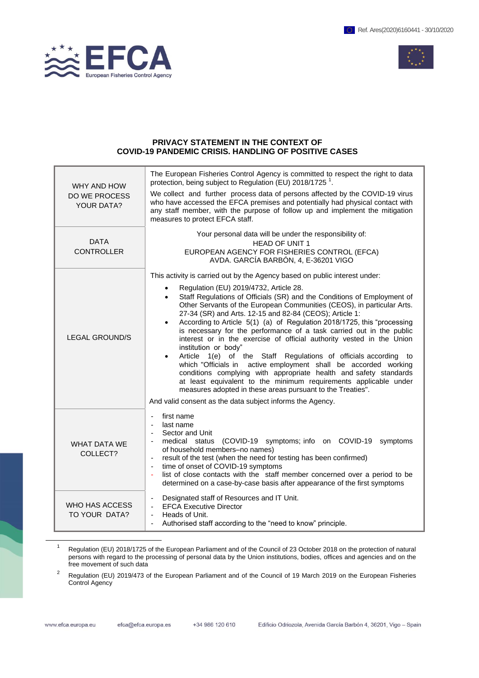



## **PRIVACY STATEMENT IN THE CONTEXT OF COVID-19 PANDEMIC CRISIS. HANDLING OF POSITIVE CASES**

| WHY AND HOW<br><b>DO WE PROCESS</b><br><b>YOUR DATA?</b> | The European Fisheries Control Agency is committed to respect the right to data<br>protection, being subject to Regulation (EU) 2018/1725 <sup>1</sup> .<br>We collect and further process data of persons affected by the COVID-19 virus<br>who have accessed the EFCA premises and potentially had physical contact with<br>any staff member, with the purpose of follow up and implement the mitigation<br>measures to protect EFCA staff.                                                                                                                                                                                                                                                                                                                                                                                                                                                                                                                                                                                             |
|----------------------------------------------------------|-------------------------------------------------------------------------------------------------------------------------------------------------------------------------------------------------------------------------------------------------------------------------------------------------------------------------------------------------------------------------------------------------------------------------------------------------------------------------------------------------------------------------------------------------------------------------------------------------------------------------------------------------------------------------------------------------------------------------------------------------------------------------------------------------------------------------------------------------------------------------------------------------------------------------------------------------------------------------------------------------------------------------------------------|
| <b>DATA</b><br><b>CONTROLLER</b>                         | Your personal data will be under the responsibility of:<br><b>HEAD OF UNIT 1</b><br>EUROPEAN AGENCY FOR FISHERIES CONTROL (EFCA)<br>AVDA. GARCÍA BARBÓN, 4, E-36201 VIGO                                                                                                                                                                                                                                                                                                                                                                                                                                                                                                                                                                                                                                                                                                                                                                                                                                                                  |
| <b>LEGAL GROUND/S</b>                                    | This activity is carried out by the Agency based on public interest under:<br>Regulation (EU) 2019/4732, Article 28.<br>Staff Regulations of Officials (SR) and the Conditions of Employment of<br>$\bullet$<br>Other Servants of the European Communities (CEOS), in particular Arts.<br>27-34 (SR) and Arts. 12-15 and 82-84 (CEOS); Article 1:<br>According to Article 5(1) (a) of Regulation 2018/1725, this "processing<br>$\bullet$<br>is necessary for the performance of a task carried out in the public<br>interest or in the exercise of official authority vested in the Union<br>institution or body"<br>Article 1(e) of the Staff Regulations of officials according to<br>$\bullet$<br>which "Officials in active employment shall be accorded working<br>conditions complying with appropriate health and safety standards<br>at least equivalent to the minimum requirements applicable under<br>measures adopted in these areas pursuant to the Treaties".<br>And valid consent as the data subject informs the Agency. |
| <b>WHAT DATA WE</b><br>COLLECT?                          | first name<br>$\blacksquare$<br>last name<br>Sector and Unit<br>medical status<br>(COVID-19 symptoms; info on COVID-19 symptoms<br>of household members-no names)<br>result of the test (when the need for testing has been confirmed)<br>$\blacksquare$<br>time of onset of COVID-19 symptoms<br>$\overline{\phantom{a}}$<br>list of close contacts with the staff member concerned over a period to be<br>determined on a case-by-case basis after appearance of the first symptoms                                                                                                                                                                                                                                                                                                                                                                                                                                                                                                                                                     |
| WHO HAS ACCESS<br>TO YOUR DATA?                          | Designated staff of Resources and IT Unit.<br><b>EFCA Executive Director</b><br>$\blacksquare$<br>Heads of Unit.<br>Authorised staff according to the "need to know" principle.                                                                                                                                                                                                                                                                                                                                                                                                                                                                                                                                                                                                                                                                                                                                                                                                                                                           |

1 Regulation (EU) 2018/1725 of the European Parliament and of the Council of 23 October 2018 on the protection of natural persons with regard to the processing of personal data by the Union institutions, bodies, offices and agencies and on the free movement of such data

2 Regulation (EU) [2019/473](https://eur-lex.europa.eu/legal-content/EN/TXT/?qid=1553512787433&uri=CELEX:32019R0473) of the European Parliament and of the Council of 19 March 2019 on the European Fisheries Control Agency

-